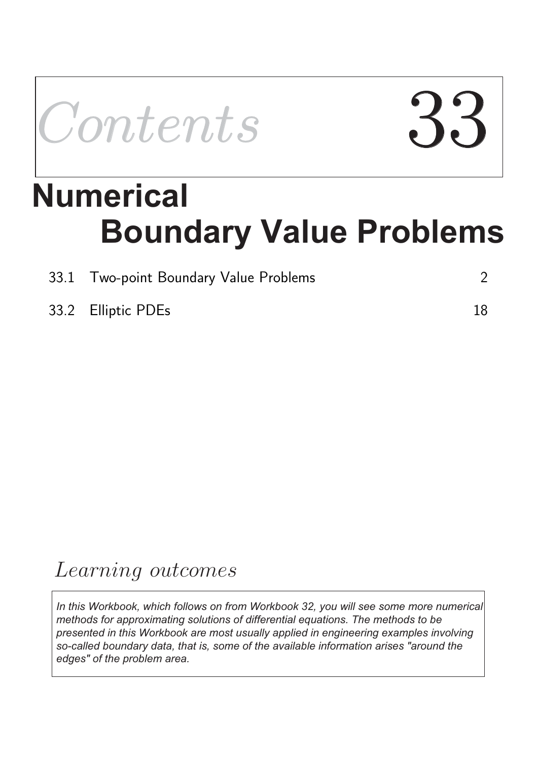Contents

# **Boundary Value Problems Numerical**

| 33.1 Two-point Boundary Value Problems |    |
|----------------------------------------|----|
| 33.2 Elliptic PDEs                     | 18 |

## Learning outcomes

*In this Workbook, which follows on from Workbook 32, you will see some more numerical methods for approximating solutions of differential equations. The methods to be presented in this Workbook are most usually applied in engineering examples involving so-called boundary data, that is, some of the available information arises "around the edges" of the problem area.*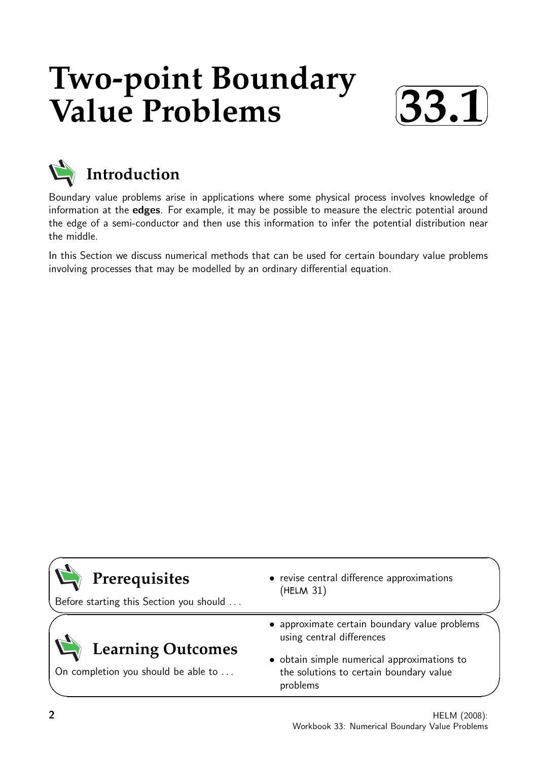## **Two-point Boundary Value Problems**





### **Introduction**

Boundary value problems arise in applications where some physical process involves knowledge of information at the edges. For example, it may be possible to measure the electric potential around the edge of a semi-conductor and then use this information to infer the potential distribution near the middle.

In this Section we discuss numerical methods that can be used for certain boundary value problems involving processes that may be modelled by an ordinary differential equation.

| Prerequisites<br>Before starting this Section you should        | • revise central difference approximations<br>(HELM 31)                                            |
|-----------------------------------------------------------------|----------------------------------------------------------------------------------------------------|
|                                                                 | • approximate certain boundary value problems<br>using central differences                         |
| <b>Learning Outcomes</b><br>On completion you should be able to | • obtain simple numerical approximations to<br>the solutions to certain boundary value<br>problems |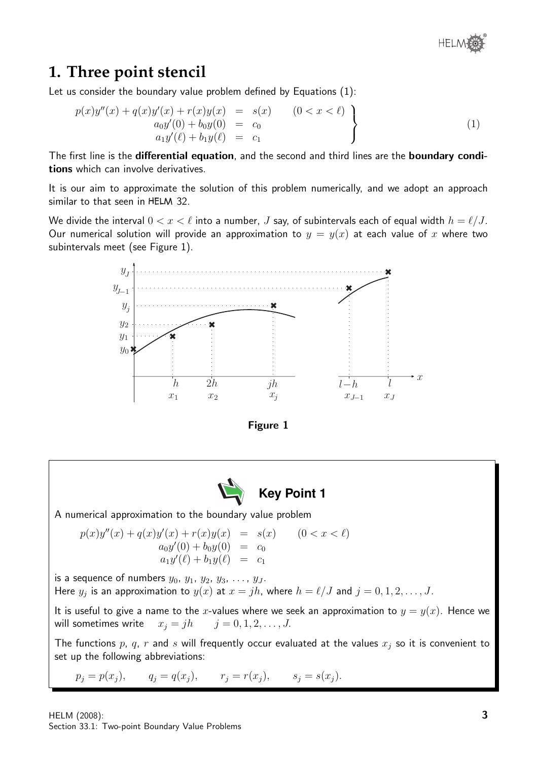### **1. Three point stencil**

Let us consider the boundary value problem defined by Equations (1):

$$
p(x)y''(x) + q(x)y'(x) + r(x)y(x) = s(x) \qquad (0 < x < \ell) \n a_0y'(0) + b_0y(0) = c_0 \n a_1y'(\ell) + b_1y(\ell) = c_1
$$
\n(1)

The first line is the differential equation, and the second and third lines are the boundary conditions which can involve derivatives.

It is our aim to approximate the solution of this problem numerically, and we adopt an approach similar to that seen in HELM 32.

We divide the interval  $0 < x < \ell$  into a number,  $J$  say, of subintervals each of equal width  $h = \ell/J$ . Our numerical solution will provide an approximation to  $y = y(x)$  at each value of x where two subintervals meet (see Figure 1).





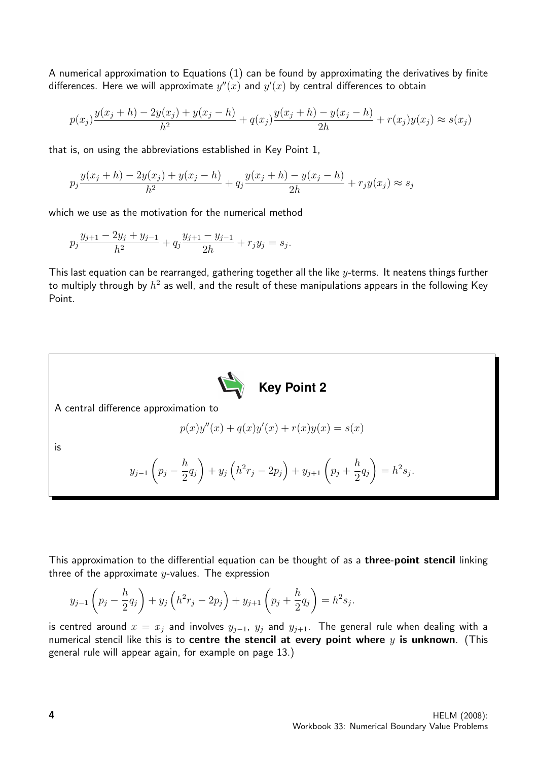A numerical approximation to Equations (1) can be found by approximating the derivatives by finite differences. Here we will approximate  $y''(x)$  and  $y'(x)$  by central differences to obtain

$$
p(x_j)\frac{y(x_j+h) - 2y(x_j) + y(x_j - h)}{h^2} + q(x_j)\frac{y(x_j+h) - y(x_j - h)}{2h} + r(x_j)y(x_j) \approx s(x_j)
$$

that is, on using the abbreviations established in Key Point 1,

$$
p_j \frac{y(x_j + h) - 2y(x_j) + y(x_j - h)}{h^2} + q_j \frac{y(x_j + h) - y(x_j - h)}{2h} + r_j y(x_j) \approx s_j
$$

which we use as the motivation for the numerical method

$$
p_j \frac{y_{j+1} - 2y_j + y_{j-1}}{h^2} + q_j \frac{y_{j+1} - y_{j-1}}{2h} + r_j y_j = s_j.
$$

This last equation can be rearranged, gathering together all the like  $y$ -terms. It neatens things further to multiply through by  $h^2$  as well, and the result of these manipulations appears in the following Key Point.



This approximation to the differential equation can be thought of as a three-point stencil linking three of the approximate  $y$ -values. The expression

$$
y_{j-1}\left(p_j - \frac{h}{2}q_j\right) + y_j\left(h^2r_j - 2p_j\right) + y_{j+1}\left(p_j + \frac{h}{2}q_j\right) = h^2s_j.
$$

is centred around  $x = x_j$  and involves  $y_{j-1}$ ,  $y_j$  and  $y_{j+1}$ . The general rule when dealing with a numerical stencil like this is to centre the stencil at every point where  $y$  is unknown. (This general rule will appear again, for example on page 13.)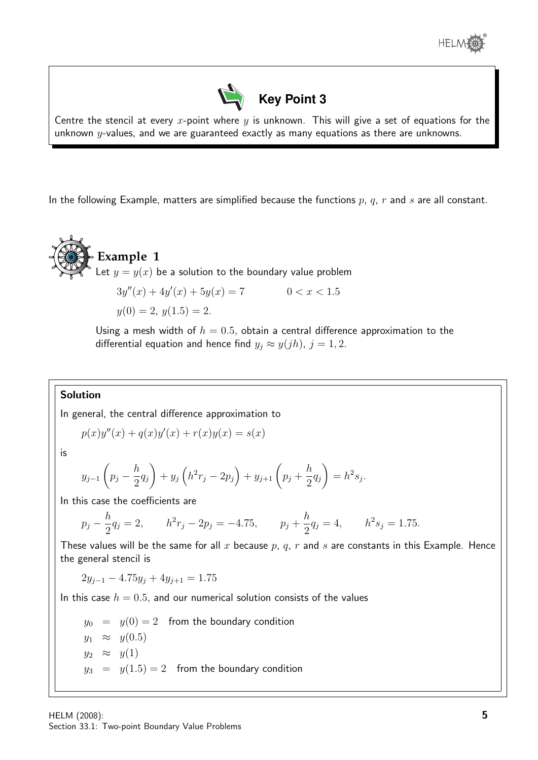



Centre the stencil at every x-point where  $y$  is unknown. This will give a set of equations for the unknown  $y$ -values, and we are guaranteed exactly as many equations as there are unknowns.

In the following Example, matters are simplified because the functions  $p, q, r$  and s are all constant.



$$
3y''(x) + 4y'(x) + 5y(x) = 7
$$
  
0 < x < 1.5  
y(0) = 2, y(1.5) = 2.

Using a mesh width of  $h = 0.5$ , obtain a central difference approximation to the differential equation and hence find  $y_j \approx y(jh)$ ,  $j = 1, 2$ .

#### Solution

In general, the central difference approximation to

$$
p(x)y''(x) + q(x)y'(x) + r(x)y(x) = s(x)
$$

is

$$
y_{j-1}\left(p_j - \frac{h}{2}q_j\right) + y_j\left(h^2r_j - 2p_j\right) + y_{j+1}\left(p_j + \frac{h}{2}q_j\right) = h^2s_j.
$$

In this case the coefficients are

$$
p_j - \frac{h}{2}q_j = 2,
$$
  $h^2r_j - 2p_j = -4.75,$   $p_j + \frac{h}{2}q_j = 4,$   $h^2s_j = 1.75.$ 

These values will be the same for all x because  $p$ ,  $q$ ,  $r$  and  $s$  are constants in this Example. Hence the general stencil is

$$
2y_{j-1} - 4.75y_j + 4y_{j+1} = 1.75
$$

In this case  $h = 0.5$ , and our numerical solution consists of the values

 $y_0 = y(0) = 2$  from the boundary condition  $y_1 \approx y(0.5)$  $y_2 \approx y(1)$  $y_3 = y(1.5) = 2$  from the boundary condition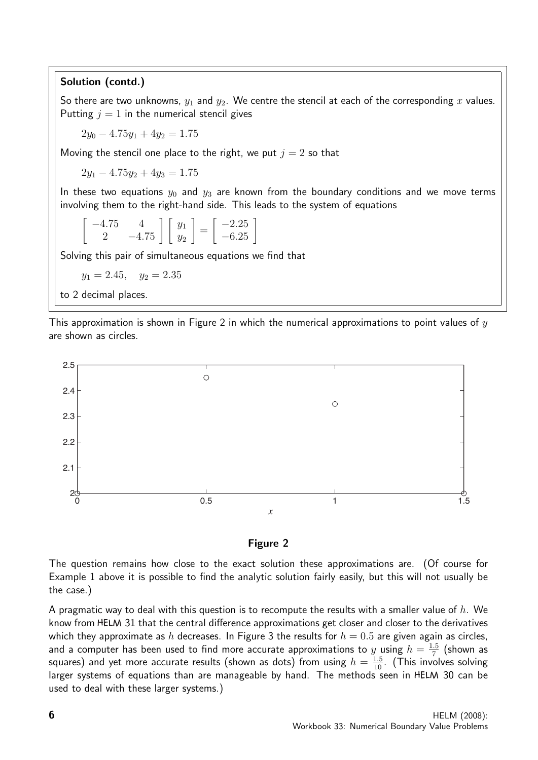#### Solution (contd.)

So there are two unknowns,  $y_1$  and  $y_2$ . We centre the stencil at each of the corresponding x values. Putting  $j = 1$  in the numerical stencil gives

 $2y_0 - 4.75y_1 + 4y_2 = 1.75$ 

Moving the stencil one place to the right, we put  $j = 2$  so that

 $2y_1 - 4.75y_2 + 4y_3 = 1.75$ 

In these two equations  $y_0$  and  $y_3$  are known from the boundary conditions and we move terms involving them to the right-hand side. This leads to the system of equations

$$
\begin{bmatrix} -4.75 & 4\\ 2 & -4.75 \end{bmatrix} \begin{bmatrix} y_1\\ y_2 \end{bmatrix} = \begin{bmatrix} -2.25\\ -6.25 \end{bmatrix}
$$

Solving this pair of simultaneous equations we find that

 $y_1 = 2.45$ ,  $y_2 = 2.35$ 

to 2 decimal places.

This approximation is shown in Figure 2 in which the numerical approximations to point values of  $y$ are shown as circles.



Figure 2

The question remains how close to the exact solution these approximations are. (Of course for Example 1 above it is possible to find the analytic solution fairly easily, but this will not usually be the case.)

A pragmatic way to deal with this question is to recompute the results with a smaller value of  $h$ . We know from HELM 31 that the central difference approximations get closer and closer to the derivatives which they approximate as h decreases. In Figure 3 the results for  $h = 0.5$  are given again as circles, and a computer has been used to find more accurate approximations to y using  $h = \frac{1.5}{7}$  $\frac{.5}{7}$  (shown as squares) and yet more accurate results (shown as dots) from using  $h=\frac{1.5}{10}.$  (This involves solving larger systems of equations than are manageable by hand. The methods seen in HELM 30 can be used to deal with these larger systems.)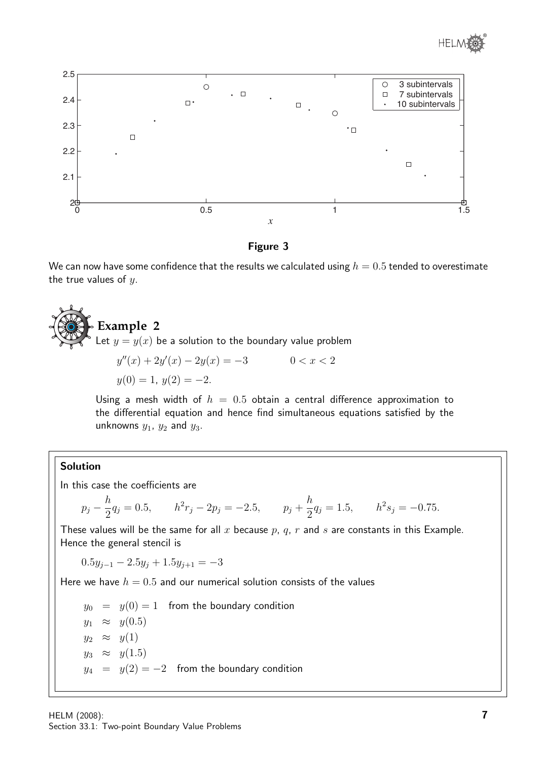



Figure 3

We can now have some confidence that the results we calculated using  $h = 0.5$  tended to overestimate the true values of  $y$ .

## **Example 2** Let  $y = y(x)$  be a solution to the boundary value problem  $y''(x) + 2y'(x) - 2y(x) = -3$  0 < x < 2  $y(0) = 1, y(2) = -2.$

Using a mesh width of  $h = 0.5$  obtain a central difference approximation to the differential equation and hence find simultaneous equations satisfied by the unknowns  $y_1$ ,  $y_2$  and  $y_3$ .

#### Solution

In this case the coefficients are

$$
p_j - \frac{h}{2}q_j = 0.5
$$
,  $h^2r_j - 2p_j = -2.5$ ,  $p_j + \frac{h}{2}q_j = 1.5$ ,  $h^2s_j = -0.75$ .

These values will be the same for all x because  $p$ ,  $q$ ,  $r$  and  $s$  are constants in this Example. Hence the general stencil is

$$
0.5y_{j-1} - 2.5y_j + 1.5y_{j+1} = -3
$$

Here we have  $h = 0.5$  and our numerical solution consists of the values

 $y_0 = y(0) = 1$  from the boundary condition  $y_1 \approx y(0.5)$  $y_2 \approx y(1)$  $y_3 \approx y(1.5)$  $y_4 = y(2) = -2$  from the boundary condition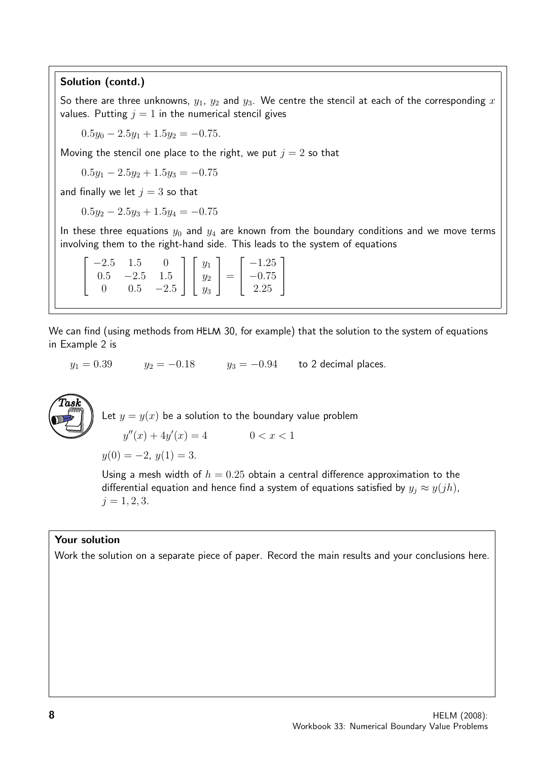#### Solution (contd.)

So there are three unknowns,  $y_1$ ,  $y_2$  and  $y_3$ . We centre the stencil at each of the corresponding x values. Putting  $j = 1$  in the numerical stencil gives

 $0.5y_0 - 2.5y_1 + 1.5y_2 = -0.75.$ 

Moving the stencil one place to the right, we put  $j = 2$  so that

 $0.5y_1 - 2.5y_2 + 1.5y_3 = -0.75$ 

and finally we let  $j = 3$  so that

 $0.5y_2 - 2.5y_3 + 1.5y_4 = -0.75$ 

In these three equations  $y_0$  and  $y_4$  are known from the boundary conditions and we move terms involving them to the right-hand side. This leads to the system of equations

|  |  |  | $\begin{bmatrix} -2.5 & 1.5 & 0 \\ 0.5 & -2.5 & 1.5 \\ 0 & 0.5 & -2.5 \end{bmatrix} \begin{bmatrix} y_1 \\ y_2 \\ y_3 \end{bmatrix} = \begin{bmatrix} -1.25 \\ -0.75 \\ 2.25 \end{bmatrix}$ |  |
|--|--|--|---------------------------------------------------------------------------------------------------------------------------------------------------------------------------------------------|--|

We can find (using methods from HELM 30, for example) that the solution to the system of equations in Example 2 is

 $y_1 = 0.39$   $y_2 = -0.18$   $y_3 = -0.94$  to 2 decimal places.



Let  $y = y(x)$  be a solution to the boundary value problem  $y''(x) + 4y'(x) = 4$   $0 < x < 1$  $y(0) = -2, y(1) = 3.$ 

Using a mesh width of  $h = 0.25$  obtain a central difference approximation to the differential equation and hence find a system of equations satisfied by  $y_j \approx y(jh)$ ,  $j = 1, 2, 3.$ 

#### Your solution

Work the solution on a separate piece of paper. Record the main results and your conclusions here.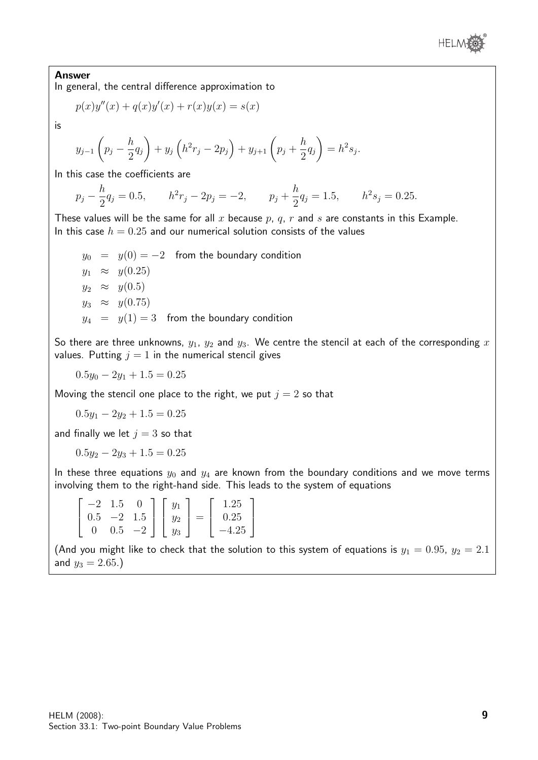

#### Answer

In general, the central difference approximation to

$$
p(x)y''(x) + q(x)y'(x) + r(x)y(x) = s(x)
$$

is

$$
y_{j-1}\left(p_j - \frac{h}{2}q_j\right) + y_j\left(h^2r_j - 2p_j\right) + y_{j+1}\left(p_j + \frac{h}{2}q_j\right) = h^2s_j.
$$

In this case the coefficients are

 $p_j - \frac{h}{2}$  $\frac{h}{2}q_j = 0.5,$   $h^2r_j - 2p_j = -2,$   $p_j + \frac{h}{2}$  $\frac{h}{2}q_j = 1.5, \qquad h^2 s_j = 0.25.$ 

These values will be the same for all  $x$  because  $p$ ,  $q$ ,  $r$  and  $s$  are constants in this Example. In this case  $h = 0.25$  and our numerical solution consists of the values

 $y_0 = y(0) = -2$  from the boundary condition  $y_1 \approx y(0.25)$  $y_2 \approx y(0.5)$  $y_3 \approx y(0.75)$  $y_4 = y(1) = 3$  from the boundary condition

So there are three unknowns,  $y_1$ ,  $y_2$  and  $y_3$ . We centre the stencil at each of the corresponding x values. Putting  $j = 1$  in the numerical stencil gives

 $0.5y_0 - 2y_1 + 1.5 = 0.25$ 

Moving the stencil one place to the right, we put  $j = 2$  so that

 $0.5y_1 - 2y_2 + 1.5 = 0.25$ 

and finally we let  $i = 3$  so that

 $0.5y_2 - 2y_3 + 1.5 = 0.25$ 

In these three equations  $y_0$  and  $y_4$  are known from the boundary conditions and we move terms involving them to the right-hand side. This leads to the system of equations

|     | 6.1  |      |       |   | .25      |
|-----|------|------|-------|---|----------|
| 0.5 | $-2$ | 1.5  | $y_2$ | = | $0.25\,$ |
|     | 0.5  | $-2$ | Yз    |   | 25       |

(And you might like to check that the solution to this system of equations is  $y_1 = 0.95$ ,  $y_2 = 2.1$ and  $y_3 = 2.65$ .)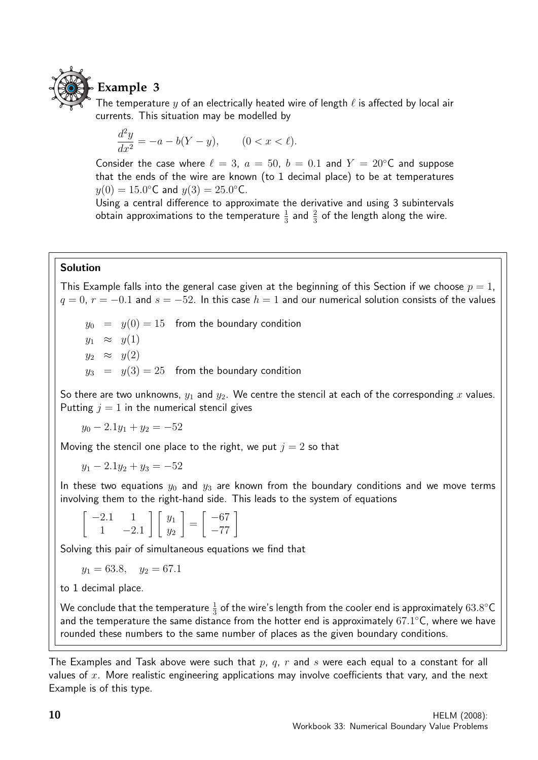

### **Example 3**

The temperature  $y$  of an electrically heated wire of length  $\ell$  is affected by local air currents. This situation may be modelled by

$$
\frac{d^2y}{dx^2} = -a - b(Y - y), \qquad (0 < x < \ell).
$$

Consider the case where  $\ell = 3$ ,  $a = 50$ ,  $b = 0.1$  and  $Y = 20$ °C and suppose that the ends of the wire are known (to 1 decimal place) to be at temperatures  $y(0) = 15.0$ °C and  $y(3) = 25.0$ °C.

Using a central difference to approximate the derivative and using 3 subintervals obtain approximations to the temperature  $\frac{1}{3}$  and  $\frac{2}{3}$  of the length along the wire.

#### Solution

This Example falls into the general case given at the beginning of this Section if we choose  $p = 1$ ,  $q = 0$ ,  $r = -0.1$  and  $s = -52$ . In this case  $h = 1$  and our numerical solution consists of the values

 $y_0 = y(0) = 15$  from the boundary condition  $y_1 \approx y(1)$  $y_2 \approx y(2)$  $y_3 = y(3) = 25$  from the boundary condition

So there are two unknowns,  $y_1$  and  $y_2$ . We centre the stencil at each of the corresponding x values. Putting  $j = 1$  in the numerical stencil gives

$$
y_0 - 2.1y_1 + y_2 = -52
$$

Moving the stencil one place to the right, we put  $j = 2$  so that

 $y_1 - 2.1y_2 + y_3 = -52$ 

In these two equations  $y_0$  and  $y_3$  are known from the boundary conditions and we move terms involving them to the right-hand side. This leads to the system of equations

$$
\left[\begin{array}{cc} -2.1 & 1\\ 1 & -2.1 \end{array}\right] \left[\begin{array}{c} y_1\\ y_2 \end{array}\right] = \left[\begin{array}{c} -67\\ -77 \end{array}\right]
$$

Solving this pair of simultaneous equations we find that

$$
y_1 = 63.8
$$
,  $y_2 = 67.1$ 

to 1 decimal place.

We conclude that the temperature  $\frac{1}{3}$  of the wire's length from the cooler end is approximately  $63.8^{\circ} \mathsf{C}$ and the temperature the same distance from the hotter end is approximately  $67.1^{\circ}$ C, where we have rounded these numbers to the same number of places as the given boundary conditions.

The Examples and Task above were such that p, q, r and s were each equal to a constant for all values of  $x$ . More realistic engineering applications may involve coefficients that vary, and the next Example is of this type.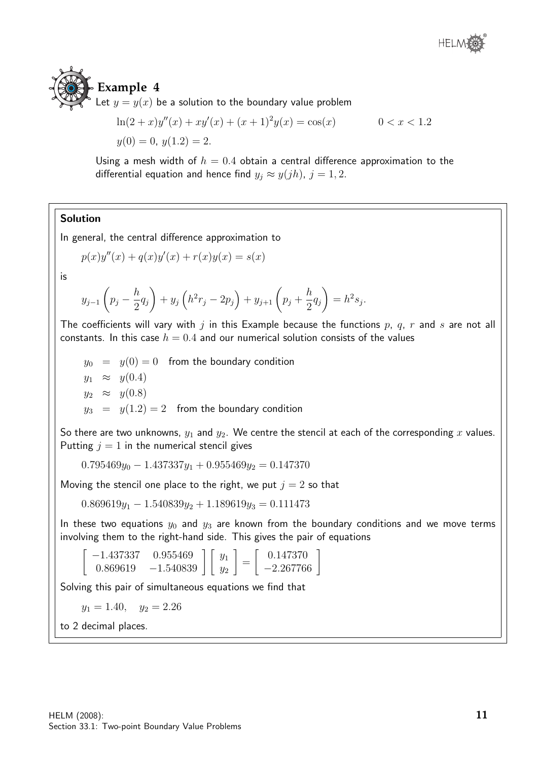

Let  $y = y(x)$  be a solution to the boundary value problem

$$
\ln(2+x)y''(x) + xy'(x) + (x+1)^2y(x) = \cos(x) \qquad 0 < x < 1.2
$$
\n
$$
y(0) = 0, \ y(1.2) = 2.
$$

Using a mesh width of  $h = 0.4$  obtain a central difference approximation to the differential equation and hence find  $y_i \approx y(jh)$ ,  $j = 1, 2$ .

#### Solution

In general, the central difference approximation to

$$
p(x)y''(x) + q(x)y'(x) + r(x)y(x) = s(x)
$$

is

$$
y_{j-1}\left(p_j - \frac{h}{2}q_j\right) + y_j\left(h^2r_j - 2p_j\right) + y_{j+1}\left(p_j + \frac{h}{2}q_j\right) = h^2s_j.
$$

The coefficients will vary with j in this Example because the functions  $p$ ,  $q$ ,  $r$  and  $s$  are not all constants. In this case  $h = 0.4$  and our numerical solution consists of the values

 $y_0 = y(0) = 0$  from the boundary condition  $y_1 \approx y(0.4)$  $y_2 \approx y(0.8)$  $y_3 = y(1.2) = 2$  from the boundary condition

So there are two unknowns,  $y_1$  and  $y_2$ . We centre the stencil at each of the corresponding x values. Putting  $j = 1$  in the numerical stencil gives

 $0.795469y_0 - 1.437337y_1 + 0.955469y_2 = 0.147370$ 

Moving the stencil one place to the right, we put  $j = 2$  so that

 $0.869619y_1 - 1.540839y_2 + 1.189619y_3 = 0.111473$ 

In these two equations  $y_0$  and  $y_3$  are known from the boundary conditions and we move terms involving them to the right-hand side. This gives the pair of equations

 $\lceil$  $\begin{bmatrix} -1.437337 & 0.955469 \\ 0.869619 & -1.540839 \end{bmatrix} \begin{bmatrix} y_1 \\ y_2 \end{bmatrix}$ 1 =  $\left[ \begin{array}{c} 0.147370 \\ -2.267766 \end{array} \right]$ 

Solving this pair of simultaneous equations we find that

 $y_1 = 1.40, \quad y_2 = 2.26$ 

to 2 decimal places.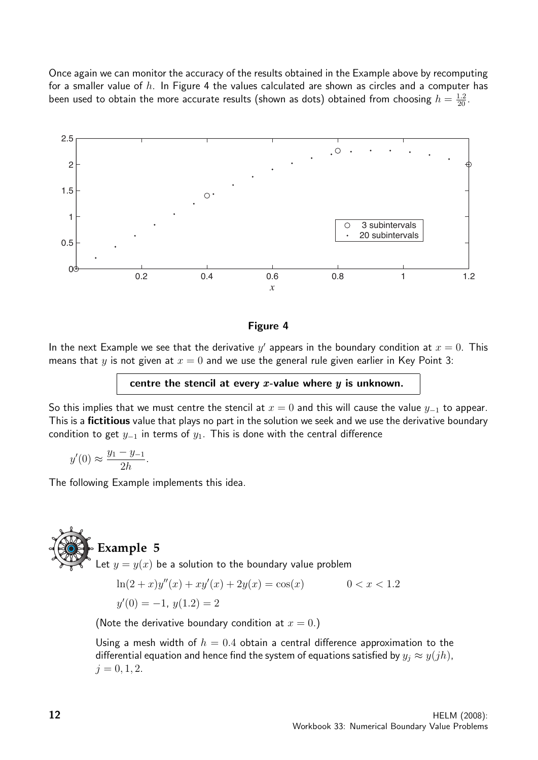Once again we can monitor the accuracy of the results obtained in the Example above by recomputing for a smaller value of  $h$ . In Figure 4 the values calculated are shown as circles and a computer has been used to obtain the more accurate results (shown as dots) obtained from choosing  $h=\frac{1.2}{20}.$ 



#### Figure 4

In the next Example we see that the derivative  $y'$  appears in the boundary condition at  $x=0$ . This means that y is not given at  $x = 0$  and we use the general rule given earlier in Key Point 3:

centre the stencil at every  $x$ -value where  $y$  is unknown.

So this implies that we must centre the stencil at  $x = 0$  and this will cause the value  $y_{-1}$  to appear. This is a **fictitious** value that plays no part in the solution we seek and we use the derivative boundary condition to get  $y_{-1}$  in terms of  $y_1$ . This is done with the central difference

$$
y'(0) \approx \frac{y_1 - y_{-1}}{2h}.
$$

The following Example implements this idea.

## **Example 5**

Let  $y = y(x)$  be a solution to the boundary value problem

$$
\ln(2+x)y''(x) + xy'(x) + 2y(x) = \cos(x) \qquad 0 < x < 1.2
$$
\n
$$
y'(0) = -1, \ y(1.2) = 2
$$

(Note the derivative boundary condition at  $x = 0.$ )

Using a mesh width of  $h = 0.4$  obtain a central difference approximation to the differential equation and hence find the system of equations satisfied by  $y_i \approx y(jh)$ ,  $j = 0, 1, 2.$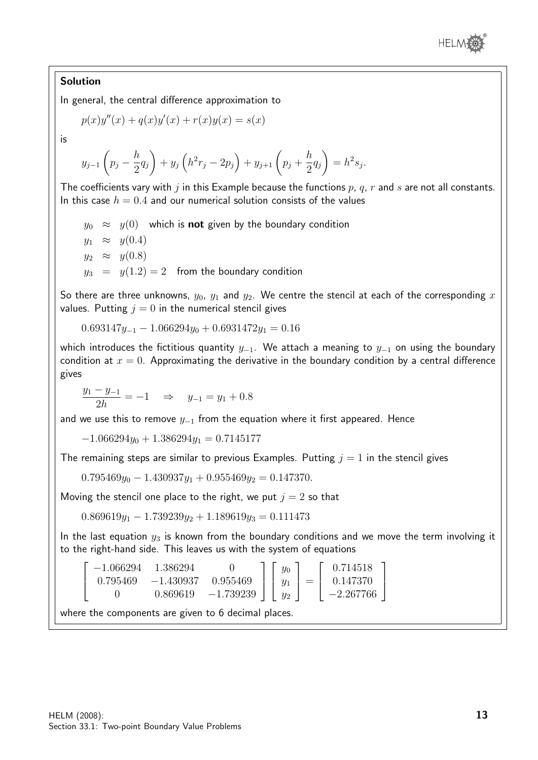

#### Solution

In general, the central difference approximation to

$$
p(x)y''(x) + q(x)y'(x) + r(x)y(x) = s(x)
$$

is

$$
y_{j-1}\left(p_j - \frac{h}{2}q_j\right) + y_j\left(h^2r_j - 2p_j\right) + y_{j+1}\left(p_j + \frac{h}{2}q_j\right) = h^2s_j.
$$

The coefficients vary with j in this Example because the functions  $p$ ,  $q$ ,  $r$  and  $s$  are not all constants. In this case  $h = 0.4$  and our numerical solution consists of the values

 $y_0 \approx y(0)$  which is **not** given by the boundary condition  $y_1 \approx y(0.4)$  $y_2 \approx y(0.8)$  $y_3 = y(1.2) = 2$  from the boundary condition

So there are three unknowns,  $y_0$ ,  $y_1$  and  $y_2$ . We centre the stencil at each of the corresponding x values. Putting  $j = 0$  in the numerical stencil gives

$$
0.693147y_{-1} - 1.066294y_0 + 0.6931472y_1 = 0.16
$$

which introduces the fictitious quantity  $y_{-1}$ . We attach a meaning to  $y_{-1}$  on using the boundary condition at  $x = 0$ . Approximating the derivative in the boundary condition by a central difference gives

$$
\frac{y_1 - y_{-1}}{2h} = -1 \quad \Rightarrow \quad y_{-1} = y_1 + 0.8
$$

and we use this to remove  $y_{-1}$  from the equation where it first appeared. Hence

 $-1.066294y_0 + 1.386294y_1 = 0.7145177$ 

The remaining steps are similar to previous Examples. Putting  $j = 1$  in the stencil gives

 $0.795469y_0 - 1.430937y_1 + 0.955469y_2 = 0.147370.$ 

Moving the stencil one place to the right, we put  $j = 2$  so that

 $0.869619y_1 - 1.739239y_2 + 1.189619y_3 = 0.111473$ 

In the last equation  $y_3$  is known from the boundary conditions and we move the term involving it to the right-hand side. This leaves us with the system of equations

$$
\begin{bmatrix} -1.066294 & 1.386294 & 0 \\ 0.795469 & -1.430937 & 0.955469 \\ 0 & 0.869619 & -1.739239 \end{bmatrix} \begin{bmatrix} y_0 \\ y_1 \\ y_2 \end{bmatrix} = \begin{bmatrix} 0.714518 \\ 0.147370 \\ -2.267766 \end{bmatrix}
$$

where the components are given to 6 decimal places.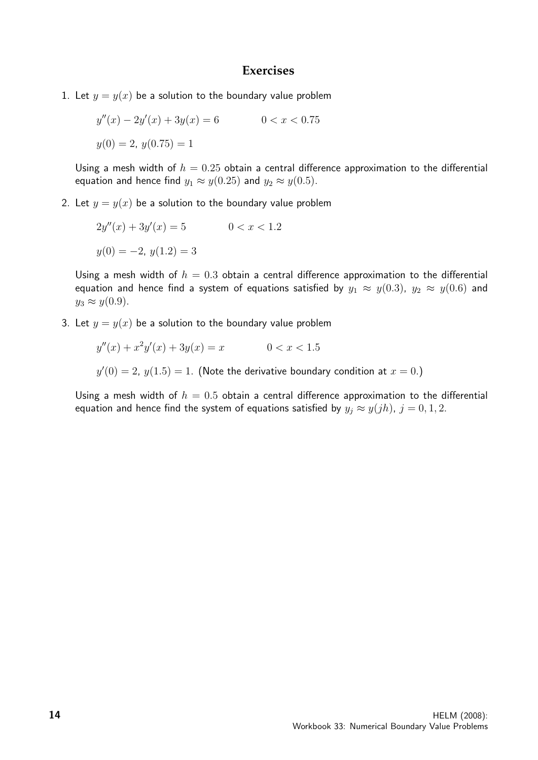#### **Exercises**

1. Let  $y = y(x)$  be a solution to the boundary value problem

$$
y''(x) - 2y'(x) + 3y(x) = 6
$$
  
0 < x < 0.75  

$$
y(0) = 2, y(0.75) = 1
$$

Using a mesh width of  $h = 0.25$  obtain a central difference approximation to the differential equation and hence find  $y_1 \approx y(0.25)$  and  $y_2 \approx y(0.5)$ .

2. Let  $y = y(x)$  be a solution to the boundary value problem

$$
2y''(x) + 3y'(x) = 5 \t 0 < x < 1.2
$$
  

$$
y(0) = -2, y(1.2) = 3
$$

Using a mesh width of  $h = 0.3$  obtain a central difference approximation to the differential equation and hence find a system of equations satisfied by  $y_1 \approx y(0.3)$ ,  $y_2 \approx y(0.6)$  and  $y_3 \approx y(0.9)$ .

3. Let  $y = y(x)$  be a solution to the boundary value problem

$$
y''(x) + x^2y'(x) + 3y(x) = x \qquad \qquad 0 < x < 1.5
$$

 $y'(0) = 2$ ,  $y(1.5) = 1$ . (Note the derivative boundary condition at  $x = 0$ .)

Using a mesh width of  $h = 0.5$  obtain a central difference approximation to the differential equation and hence find the system of equations satisfied by  $y_j \approx y(jh)$ ,  $j = 0, 1, 2$ .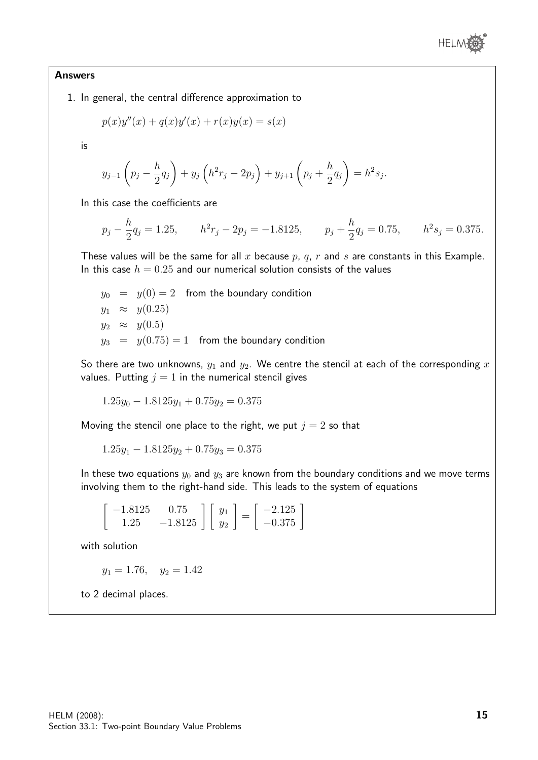

#### Answers

1. In general, the central difference approximation to

$$
p(x)y''(x) + q(x)y'(x) + r(x)y(x) = s(x)
$$

is

$$
y_{j-1}\left(p_j - \frac{h}{2}q_j\right) + y_j\left(h^2r_j - 2p_j\right) + y_{j+1}\left(p_j + \frac{h}{2}q_j\right) = h^2s_j.
$$

In this case the coefficients are

$$
p_j - \frac{h}{2}q_j = 1.25
$$
,  $h^2r_j - 2p_j = -1.8125$ ,  $p_j + \frac{h}{2}q_j = 0.75$ ,  $h^2s_j = 0.375$ .

These values will be the same for all x because  $p$ ,  $q$ ,  $r$  and  $s$  are constants in this Example. In this case  $h = 0.25$  and our numerical solution consists of the values

 $y_0 = y(0) = 2$  from the boundary condition  $y_1 \approx y(0.25)$  $y_2 \approx y(0.5)$  $y_3 = y(0.75) = 1$  from the boundary condition

So there are two unknowns,  $y_1$  and  $y_2$ . We centre the stencil at each of the corresponding x values. Putting  $j = 1$  in the numerical stencil gives

$$
1.25y_0 - 1.8125y_1 + 0.75y_2 = 0.375
$$

Moving the stencil one place to the right, we put  $j = 2$  so that

$$
1.25y_1 - 1.8125y_2 + 0.75y_3 = 0.375
$$

In these two equations  $y_0$  and  $y_3$  are known from the boundary conditions and we move terms involving them to the right-hand side. This leads to the system of equations

$$
\begin{bmatrix} -1.8125 & 0.75 \\ 1.25 & -1.8125 \end{bmatrix} \begin{bmatrix} y_1 \\ y_2 \end{bmatrix} = \begin{bmatrix} -2.125 \\ -0.375 \end{bmatrix}
$$

with solution

 $y_1 = 1.76$ ,  $y_2 = 1.42$ 

to 2 decimal places.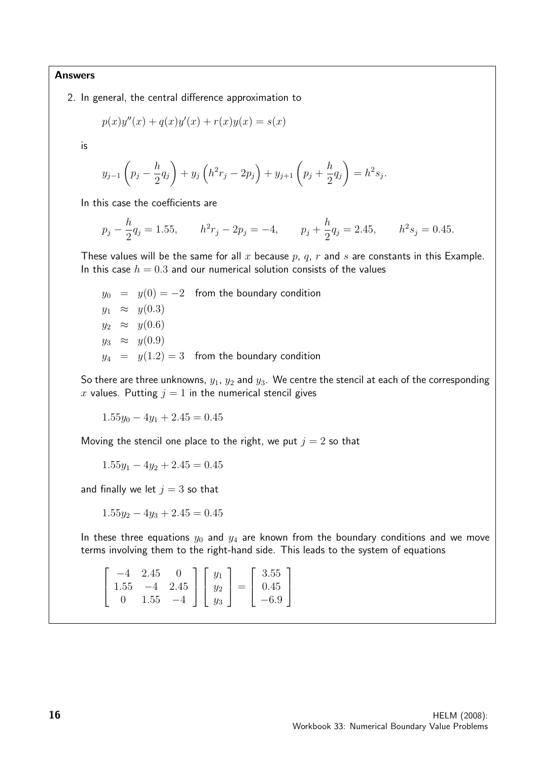Answers

2. In general, the central difference approximation to

$$
p(x)y''(x) + q(x)y'(x) + r(x)y(x) = s(x)
$$

is

$$
y_{j-1}\left(p_j - \frac{h}{2}q_j\right) + y_j\left(h^2r_j - 2p_j\right) + y_{j+1}\left(p_j + \frac{h}{2}q_j\right) = h^2s_j.
$$

In this case the coefficients are

$$
p_j - \frac{h}{2}q_j = 1.55
$$
,  $h^2r_j - 2p_j = -4$ ,  $p_j + \frac{h}{2}q_j = 2.45$ ,  $h^2s_j = 0.45$ .

These values will be the same for all x because  $p$ ,  $q$ ,  $r$  and  $s$  are constants in this Example. In this case  $h = 0.3$  and our numerical solution consists of the values

 $y_0 = y(0) = -2$  from the boundary condition  $y_1 \approx y(0.3)$  $y_2 \approx y(0.6)$  $y_3 \approx y(0.9)$  $y_4 = y(1.2) = 3$  from the boundary condition

So there are three unknowns,  $y_1$ ,  $y_2$  and  $y_3$ . We centre the stencil at each of the corresponding x values. Putting  $j = 1$  in the numerical stencil gives

 $1.55y_0 - 4y_1 + 2.45 = 0.45$ 

Moving the stencil one place to the right, we put  $j = 2$  so that

 $1.55y_1 - 4y_2 + 2.45 = 0.45$ 

and finally we let  $j = 3$  so that

 $1.55y_2 - 4y_3 + 2.45 = 0.45$ 

In these three equations  $y_0$  and  $y_4$  are known from the boundary conditions and we move terms involving them to the right-hand side. This leads to the system of equations

|                | $-4$ 2.45 | $\bigcap$ | $\vert y_1$ | 3.55                                |
|----------------|-----------|-----------|-------------|-------------------------------------|
|                |           |           |             | 1.55 $-4$ 2.45     $y_2$   =   0.45 |
| $\overline{0}$ | 1.55      |           |             | $-4$     $y_3$     $-6.9$           |